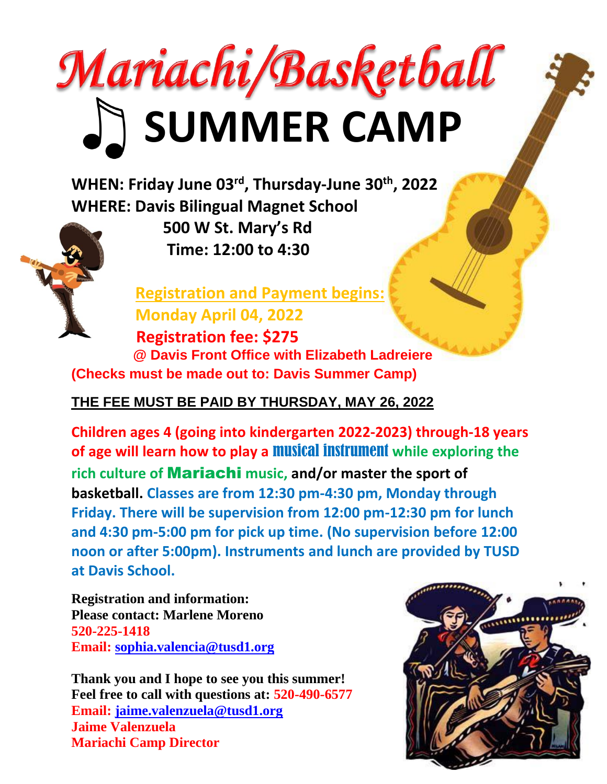## Mariachi/Basketball **SUMMER CAMP**

**WHEN: Friday June 03 rd , Thursday-June 30th, 2022 WHERE: Davis Bilingual Magnet School**



 **500 W St. Mary's Rd Time: 12:00 to 4:30**

 **Registration and Payment begins: Monday April 04, 2022 Registration fee: \$275 @ Davis Front Office with Elizabeth Ladreiere (Checks must be made out to: Davis Summer Camp)**

**THE FEE MUST BE PAID BY THURSDAY, MAY 26, 2022**

**Children ages 4 (going into kindergarten 2022-2023) through-18 years of age will learn how to play a** musical instrument **while exploring the rich culture of** Mariachi **music, and/or master the sport of basketball. Classes are from 12:30 pm-4:30 pm, Monday through Friday. There will be supervision from 12:00 pm-12:30 pm for lunch and 4:30 pm-5:00 pm for pick up time. (No supervision before 12:00 noon or after 5:00pm). Instruments and lunch are provided by TUSD at Davis School.**

**Registration and information: Please contact: Marlene Moreno 520-225-1418 Email: [sophia.valencia@tusd1.org](mailto:sophia.valencia@tusd1.org)**

**Thank you and I hope to see you this summer! Feel free to call with questions at: 520-490-6577 Email: [jaime.valenzuela@tusd1.org](mailto:jaime.valenzuela@tusd1.org) Jaime Valenzuela Mariachi Camp Director**